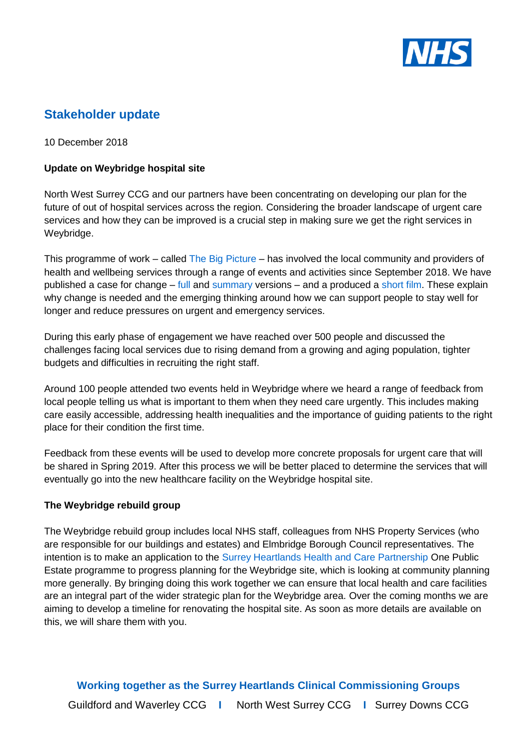

# **Stakeholder update**

10 December 2018

### **Update on Weybridge hospital site**

North West Surrey CCG and our partners have been concentrating on developing our plan for the future of out of hospital services across the region. Considering the broader landscape of urgent care services and how they can be improved is a crucial step in making sure we get the right services in Weybridge.

This programme of work – called [The Big Picture](http://www.nwsurreyccg.nhs.uk/get-involved/consultation-and-engagement/the-big-picture) – has involved the local community and providers of health and wellbeing services through a range of events and activities since September 2018. We have published a case for change – [full](http://www.nwsurreyccg.nhs.uk/stay-informed/documents/the-big-picture/705-cdm1069-nws-caseforchange-web-version-final/file) and [summary](http://www.nwsurreyccg.nhs.uk/stay-informed/documents/the-big-picture/706-nws-case-for-change-summary-a5-leaflet-web-final) versions – and a produced a [short film.](https://www.youtube.com/watch?v=wG0iE9L80d4) These explain why change is needed and the emerging thinking around how we can support people to stay well for longer and reduce pressures on urgent and emergency services.

During this early phase of engagement we have reached over 500 people and discussed the challenges facing local services due to rising demand from a growing and aging population, tighter budgets and difficulties in recruiting the right staff.

Around 100 people attended two events held in Weybridge where we heard a range of feedback from local people telling us what is important to them when they need care urgently. This includes making care easily accessible, addressing health inequalities and the importance of guiding patients to the right place for their condition the first time.

Feedback from these events will be used to develop more concrete proposals for urgent care that will be shared in Spring 2019. After this process we will be better placed to determine the services that will eventually go into the new healthcare facility on the Weybridge hospital site.

#### **The Weybridge rebuild group**

The Weybridge rebuild group includes local NHS staff, colleagues from NHS Property Services (who are responsible for our buildings and estates) and Elmbridge Borough Council representatives. The intention is to make an application to the [Surrey Heartlands Health and Care Partnership](http://surreyheartlands.uk/) One Public Estate programme to progress planning for the Weybridge site, which is looking at community planning more generally. By bringing doing this work together we can ensure that local health and care facilities are an integral part of the wider strategic plan for the Weybridge area. Over the coming months we are aiming to develop a timeline for renovating the hospital site. As soon as more details are available on this, we will share them with you.